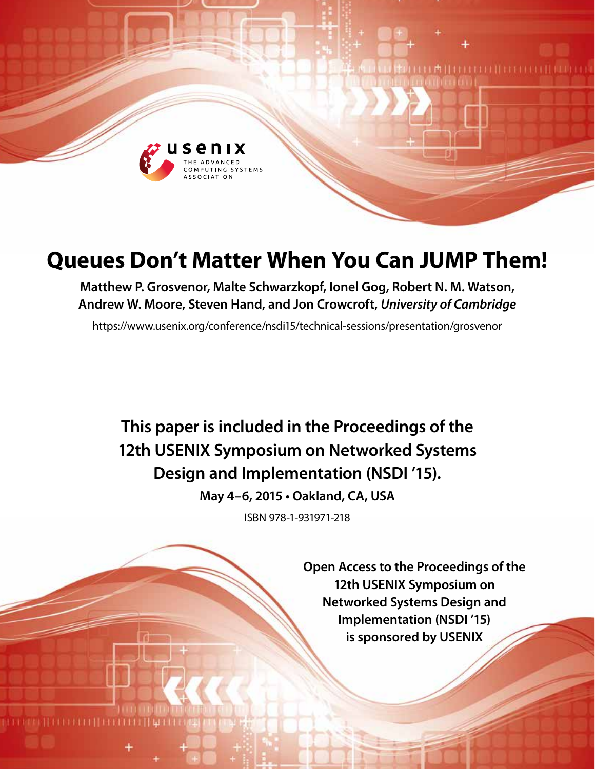

# **Queues Don't Matter When You Can JUMP Them!**

**Matthew P. Grosvenor, Malte Schwarzkopf, Ionel Gog, Robert N. M. Watson, Andrew W. Moore, Steven Hand, and Jon Crowcroft,** *University of Cambridge*

<https://www.usenix.org/conference/nsdi15/technical-sessions/presentation/grosvenor>

**This paper is included in the Proceedings of the 12th USENIX Symposium on Networked Systems Design and Implementation (NSDI '15).**

**May 4–6, 2015 • Oakland, CA, USA**

ISBN 978-1-931971-218

**Open Access to the Proceedings of the 12th USENIX Symposium on Networked Systems Design and Implementation (NSDI '15) is sponsored by USENIX**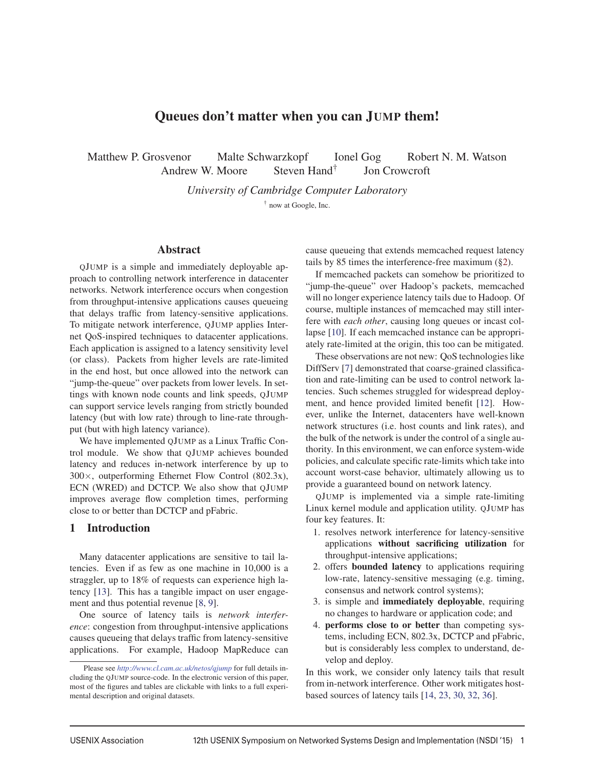# Queues don't matter when you can JUMP them!

Matthew P. Grosvenor Malte Schwarzkopf Ionel Gog Robert N. M. Watson Andrew W. Moore Steven Hand<sup>†</sup> Jon Crowcroft

*University of Cambridge Computer Laboratory*

† now at Google, Inc.

#### Abstract

QJUMP is a simple and immediately deployable approach to controlling network interference in datacenter networks. Network interference occurs when congestion from throughput-intensive applications causes queueing that delays traffic from latency-sensitive applications. To mitigate network interference, QJUMP applies Internet QoS-inspired techniques to datacenter applications. Each application is assigned to a latency sensitivity level (or class). Packets from higher levels are rate-limited in the end host, but once allowed into the network can "jump-the-queue" over packets from lower levels. In settings with known node counts and link speeds, QJUMP can support service levels ranging from strictly bounded latency (but with low rate) through to line-rate throughput (but with high latency variance).

We have implemented QJUMP as a Linux Traffic Control module. We show that QJUMP achieves bounded latency and reduces in-network interference by up to 300×, outperforming Ethernet Flow Control (802.3x), ECN (WRED) and DCTCP. We also show that QJUMP improves average flow completion times, performing close to or better than DCTCP and pFabric.

# 1 Introduction

Many datacenter applications are sensitive to tail latencies. Even if as few as one machine in 10,000 is a straggler, up to 18% of requests can experience high latency [13]. This has a tangible impact on user engagement and thus potential revenue [8, 9].

One source of latency tails is *network interference*: congestion from throughput-intensive applications causes queueing that delays traffic from latency-sensitive applications. For example, Hadoop MapReduce can cause queueing that extends memcached request latency tails by 85 times the interference-free maximum (§2).

If memcached packets can somehow be prioritized to "jump-the-queue" over Hadoop's packets, memcached will no longer experience latency tails due to Hadoop. Of course, multiple instances of memcached may still interfere with *each other*, causing long queues or incast collapse [10]. If each memcached instance can be appropriately rate-limited at the origin, this too can be mitigated.

These observations are not new: QoS technologies like DiffServ [7] demonstrated that coarse-grained classification and rate-limiting can be used to control network latencies. Such schemes struggled for widespread deployment, and hence provided limited benefit [12]. However, unlike the Internet, datacenters have well-known network structures (i.e. host counts and link rates), and the bulk of the network is under the control of a single authority. In this environment, we can enforce system-wide policies, and calculate specific rate-limits which take into account worst-case behavior, ultimately allowing us to provide a guaranteed bound on network latency.

QJUMP is implemented via a simple rate-limiting Linux kernel module and application utility. QJUMP has four key features. It:

- 1. resolves network interference for latency-sensitive applications without sacrificing utilization for throughput-intensive applications;
- 2. offers bounded latency to applications requiring low-rate, latency-sensitive messaging (e.g. timing, consensus and network control systems);
- 3. is simple and **immediately deployable**, requiring no changes to hardware or application code; and
- 4. performs close to or better than competing systems, including ECN, 802.3x, DCTCP and pFabric, but is considerably less complex to understand, develop and deploy.

In this work, we consider only latency tails that result from in-network interference. Other work mitigates hostbased sources of latency tails [14, 23, 30, 32, 36].

Please see *<http://www.cl.cam.ac.uk/netos/qjump>* for full details including the QJUMP source-code. In the electronic version of this paper, most of the figures and tables are clickable with links to a full experimental description and original datasets.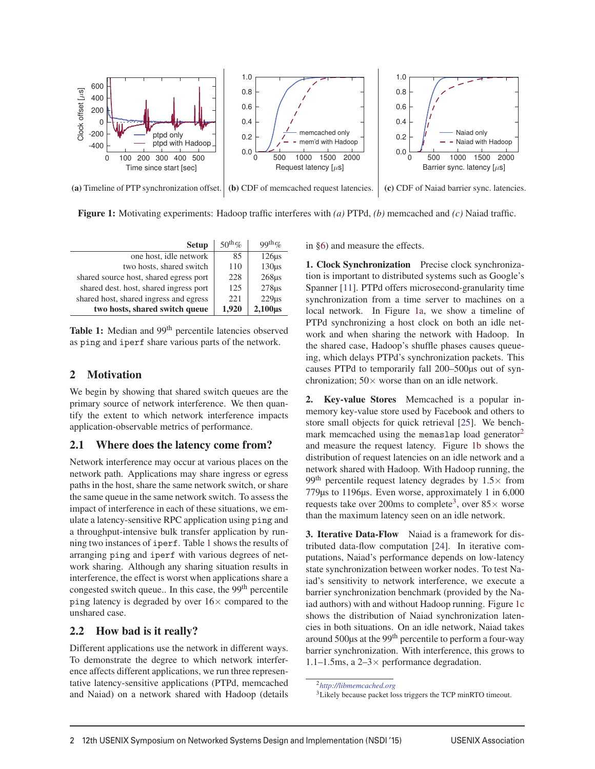

(a) [Timeline of PTP synchronization offset.](http://www.cl.cam.ac.uk/netos/qjump/nsdi2015/figure5.html) (b) [CDF of memcached request latencies.](http://www.cl.cam.ac.uk/netos/qjump/nsdi2015/figure3b.html) (c) [CDF of Naiad barrier sync. latencies.](http://www.cl.cam.ac.uk/netos/qjump/nsdi2015/figure3c.html)

Figure 1: Motivating experiments: Hadoop traffic interferes with *(a)* PTPd, *(b)* memcached and *(c)* Naiad traffic.

| <b>Setup</b>                           | $50th$ % | $99^{th}$ %        |
|----------------------------------------|----------|--------------------|
| one host, idle network                 | 85       | 126 <sub>us</sub>  |
| two hosts, shared switch               | 110      | 130 <sub>us</sub>  |
| shared source host, shared egress port | 228      | $268\mu s$         |
| shared dest. host, shared ingress port | 125      | $278\mu s$         |
| shared host, shared ingress and egress | 22.1     | 229 <sub>us</sub>  |
| two hosts, shared switch queue         | 1,920    | 2,100 <sub>µ</sub> |

Table 1: Median and 99<sup>th</sup> percentile latencies observed as ping and iperf [share various parts of the network.](http://www.cl.cam.ac.uk/netos/qjump/nsdi2015/table1.html)

# 2 Motivation

We begin by showing that shared switch queues are the primary source of network interference. We then quantify the extent to which network interference impacts application-observable metrics of performance.

# 2.1 Where does the latency come from?

Network interference may occur at various places on the network path. Applications may share ingress or egress paths in the host, share the same network switch, or share the same queue in the same network switch. To assess the impact of interference in each of these situations, we emulate a latency-sensitive RPC application using ping and a throughput-intensive bulk transfer application by running two instances of iperf. Table 1 shows the results of arranging ping and iperf with various degrees of network sharing. Although any sharing situation results in interference, the effect is worst when applications share a congested switch queue.. In this case, the 99<sup>th</sup> percentile ping latency is degraded by over  $16\times$  compared to the unshared case.

# 2.2 How bad is it really?

Different applications use the network in different ways. To demonstrate the degree to which network interference affects different applications, we run three representative latency-sensitive applications (PTPd, memcached and Naiad) on a network shared with Hadoop (details in §6) and measure the effects.

1. Clock Synchronization Precise clock synchronization is important to distributed systems such as Google's Spanner [11]. PTPd offers microsecond-granularity time synchronization from a time server to machines on a local network. In Figure 1a, we show a timeline of PTPd synchronizing a host clock on both an idle network and when sharing the network with Hadoop. In the shared case, Hadoop's shuffle phases causes queueing, which delays PTPd's synchronization packets. This causes PTPd to temporarily fall 200–500μs out of synchronization;  $50 \times$  worse than on an idle network.

2. Key-value Stores Memcached is a popular inmemory key-value store used by Facebook and others to store small objects for quick retrieval [25]. We benchmark memcached using the memaslap load generator<sup>2</sup> and measure the request latency. Figure 1b shows the distribution of request latencies on an idle network and a network shared with Hadoop. With Hadoop running, the 99<sup>th</sup> percentile request latency degrades by  $1.5\times$  from 779μs to 1196μs. Even worse, approximately 1 in 6,000 requests take over 200ms to complete<sup>3</sup>, over  $85\times$  worse than the maximum latency seen on an idle network.

3. Iterative Data-Flow Naiad is a framework for distributed data-flow computation [24]. In iterative computations, Naiad's performance depends on low-latency state synchronization between worker nodes. To test Naiad's sensitivity to network interference, we execute a barrier synchronization benchmark (provided by the Naiad authors) with and without Hadoop running. Figure 1c shows the distribution of Naiad synchronization latencies in both situations. On an idle network, Naiad takes around 500μs at the 99th percentile to perform a four-way barrier synchronization. With interference, this grows to 1.1–1.5ms, a 2–3× performance degradation.

<sup>2</sup>*http://libmemcached.org*

<sup>3</sup>Likely because packet loss triggers the TCP minRTO timeout.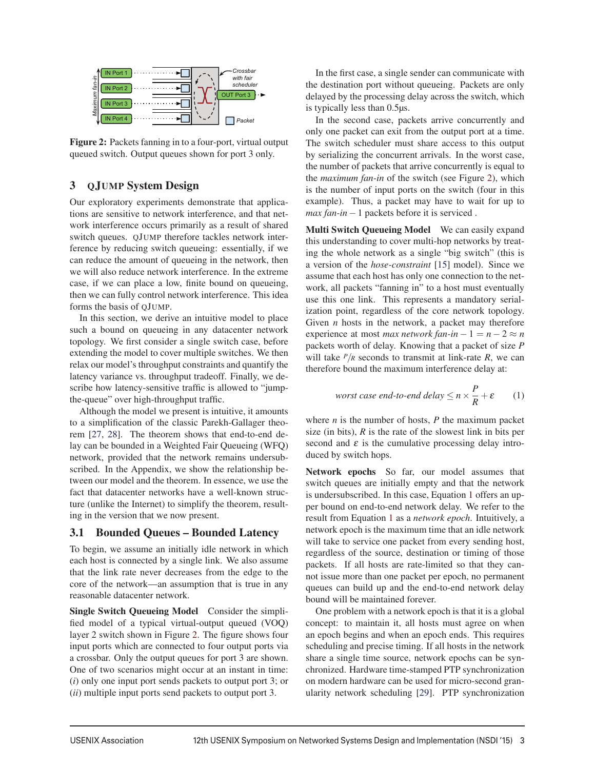

Figure 2: Packets fanning in to a four-port, virtual output queued switch. Output queues shown for port 3 only.

# 3 QJUMP System Design

Our exploratory experiments demonstrate that applications are sensitive to network interference, and that network interference occurs primarily as a result of shared switch queues. QJUMP therefore tackles network interference by reducing switch queueing: essentially, if we can reduce the amount of queueing in the network, then we will also reduce network interference. In the extreme case, if we can place a low, finite bound on queueing, then we can fully control network interference. This idea forms the basis of QJUMP.

In this section, we derive an intuitive model to place such a bound on queueing in any datacenter network topology. We first consider a single switch case, before extending the model to cover multiple switches. We then relax our model's throughput constraints and quantify the latency variance vs. throughput tradeoff. Finally, we describe how latency-sensitive traffic is allowed to "jumpthe-queue" over high-throughput traffic.

Although the model we present is intuitive, it amounts to a simplification of the classic Parekh-Gallager theorem [27, 28]. The theorem shows that end-to-end delay can be bounded in a Weighted Fair Queueing (WFQ) network, provided that the network remains undersubscribed. In the Appendix, we show the relationship between our model and the theorem. In essence, we use the fact that datacenter networks have a well-known structure (unlike the Internet) to simplify the theorem, resulting in the version that we now present.

## 3.1 Bounded Queues – Bounded Latency

To begin, we assume an initially idle network in which each host is connected by a single link. We also assume that the link rate never decreases from the edge to the core of the network—an assumption that is true in any reasonable datacenter network.

Single Switch Queueing Model Consider the simplified model of a typical virtual-output queued (VOQ) layer 2 switch shown in Figure 2. The figure shows four input ports which are connected to four output ports via a crossbar. Only the output queues for port 3 are shown. One of two scenarios might occur at an instant in time: (*i*) only one input port sends packets to output port 3; or (*ii*) multiple input ports send packets to output port 3.

In the first case, a single sender can communicate with the destination port without queueing. Packets are only delayed by the processing delay across the switch, which is typically less than 0.5μs.

In the second case, packets arrive concurrently and only one packet can exit from the output port at a time. The switch scheduler must share access to this output by serializing the concurrent arrivals. In the worst case, the number of packets that arrive concurrently is equal to the *maximum fan-in* of the switch (see Figure 2), which is the number of input ports on the switch (four in this example). Thus, a packet may have to wait for up to *max fan-in*−1 packets before it is serviced .

**Example 12th User Control in the User Control in the User Systems Dependent Control in the Review on Networked Systems Dependent Association (NSDI '15) 3 in the Review of the USENIX Symposium on Networked Systems Depende** Multi Switch Queueing Model We can easily expand this understanding to cover multi-hop networks by treating the whole network as a single "big switch" (this is a version of the *hose-constraint* [15] model). Since we assume that each host has only one connection to the network, all packets "fanning in" to a host must eventually use this one link. This represents a mandatory serialization point, regardless of the core network topology. Given *n* hosts in the network, a packet may therefore experience at most *max network fan-in*  $-1 = n - 2 \approx n$ packets worth of delay. Knowing that a packet of size *P* will take  $P/R$  seconds to transmit at link-rate  $R$ , we can therefore bound the maximum interference delay at:

*worst case end-to-end delay* 
$$
\le n \times \frac{P}{R} + \varepsilon
$$
 (1)

where *n* is the number of hosts, *P* the maximum packet size (in bits), *R* is the rate of the slowest link in bits per second and  $\varepsilon$  is the cumulative processing delay introduced by switch hops.

Network epochs So far, our model assumes that switch queues are initially empty and that the network is undersubscribed. In this case, Equation 1 offers an upper bound on end-to-end network delay. We refer to the result from Equation 1 as a *network epoch*. Intuitively, a network epoch is the maximum time that an idle network will take to service one packet from every sending host, regardless of the source, destination or timing of those packets. If all hosts are rate-limited so that they cannot issue more than one packet per epoch, no permanent queues can build up and the end-to-end network delay bound will be maintained forever.

One problem with a network epoch is that it is a global concept: to maintain it, all hosts must agree on when an epoch begins and when an epoch ends. This requires scheduling and precise timing. If all hosts in the network share a single time source, network epochs can be synchronized. Hardware time-stamped PTP synchronization on modern hardware can be used for micro-second granularity network scheduling [29]. PTP synchronization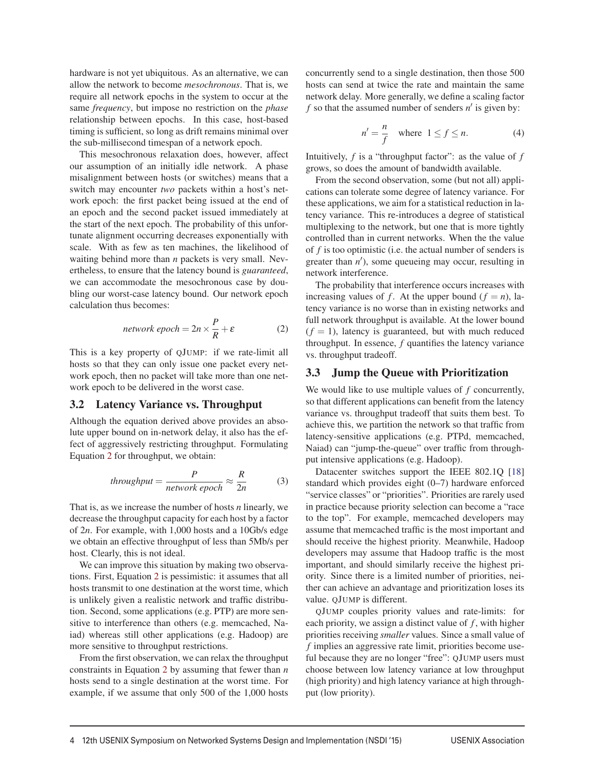hardware is not yet ubiquitous. As an alternative, we can allow the network to become *mesochronous*. That is, we require all network epochs in the system to occur at the same *frequency*, but impose no restriction on the *phase* relationship between epochs. In this case, host-based timing is sufficient, so long as drift remains minimal over the sub-millisecond timespan of a network epoch.

This mesochronous relaxation does, however, affect our assumption of an initially idle network. A phase misalignment between hosts (or switches) means that a switch may encounter *two* packets within a host's network epoch: the first packet being issued at the end of an epoch and the second packet issued immediately at the start of the next epoch. The probability of this unfortunate alignment occurring decreases exponentially with scale. With as few as ten machines, the likelihood of waiting behind more than *n* packets is very small. Nevertheless, to ensure that the latency bound is *guaranteed*, we can accommodate the mesochronous case by doubling our worst-case latency bound. Our network epoch calculation thus becomes:

$$
network\, epoch = 2n \times \frac{P}{R} + \varepsilon \tag{2}
$$

This is a key property of QJUMP: if we rate-limit all hosts so that they can only issue one packet every network epoch, then no packet will take more than one network epoch to be delivered in the worst case.

## 3.2 Latency Variance vs. Throughput

Although the equation derived above provides an absolute upper bound on in-network delay, it also has the effect of aggressively restricting throughput. Formulating Equation 2 for throughput, we obtain:

*throughput* = 
$$
\frac{P}{network\,epoch} \approx \frac{R}{2n}
$$
 (3)

That is, as we increase the number of hosts *n* linearly, we decrease the throughput capacity for each host by a factor of 2*n*. For example, with 1,000 hosts and a 10Gb/s edge we obtain an effective throughput of less than 5Mb/s per host. Clearly, this is not ideal.

We can improve this situation by making two observations. First, Equation 2 is pessimistic: it assumes that all hosts transmit to one destination at the worst time, which is unlikely given a realistic network and traffic distribution. Second, some applications (e.g. PTP) are more sensitive to interference than others (e.g. memcached, Naiad) whereas still other applications (e.g. Hadoop) are more sensitive to throughput restrictions.

From the first observation, we can relax the throughput constraints in Equation 2 by assuming that fewer than *n* hosts send to a single destination at the worst time. For example, if we assume that only 500 of the 1,000 hosts concurrently send to a single destination, then those 500 hosts can send at twice the rate and maintain the same network delay. More generally, we define a scaling factor  $f$  so that the assumed number of senders  $n'$  is given by:

$$
n' = \frac{n}{f} \quad \text{where} \quad 1 \le f \le n. \tag{4}
$$

Intuitively, *f* is a "throughput factor": as the value of *f* grows, so does the amount of bandwidth available.

From the second observation, some (but not all) applications can tolerate some degree of latency variance. For these applications, we aim for a statistical reduction in latency variance. This re-introduces a degree of statistical multiplexing to the network, but one that is more tightly controlled than in current networks. When the the value of *f* is too optimistic (i.e. the actual number of senders is greater than  $n'$ ), some queueing may occur, resulting in network interference.

The probability that interference occurs increases with increasing values of *f*. At the upper bound  $(f = n)$ , latency variance is no worse than in existing networks and full network throughput is available. At the lower bound  $(f = 1)$ , latency is guaranteed, but with much reduced throughput. In essence, *f* quantifies the latency variance vs. throughput tradeoff.

# 3.3 Jump the Queue with Prioritization

We would like to use multiple values of *f* concurrently, so that different applications can benefit from the latency variance vs. throughput tradeoff that suits them best. To achieve this, we partition the network so that traffic from latency-sensitive applications (e.g. PTPd, memcached, Naiad) can "jump-the-queue" over traffic from throughput intensive applications (e.g. Hadoop).

Datacenter switches support the IEEE 802.1Q [18] standard which provides eight (0–7) hardware enforced "service classes" or "priorities". Priorities are rarely used in practice because priority selection can become a "race to the top". For example, memcached developers may assume that memcached traffic is the most important and should receive the highest priority. Meanwhile, Hadoop developers may assume that Hadoop traffic is the most important, and should similarly receive the highest priority. Since there is a limited number of priorities, neither can achieve an advantage and prioritization loses its value. QJUMP is different.

QJUMP couples priority values and rate-limits: for each priority, we assign a distinct value of  $f$ , with higher priorities receiving *smaller* values. Since a small value of *f* implies an aggressive rate limit, priorities become useful because they are no longer "free": QJUMP users must choose between low latency variance at low throughput (high priority) and high latency variance at high throughput (low priority).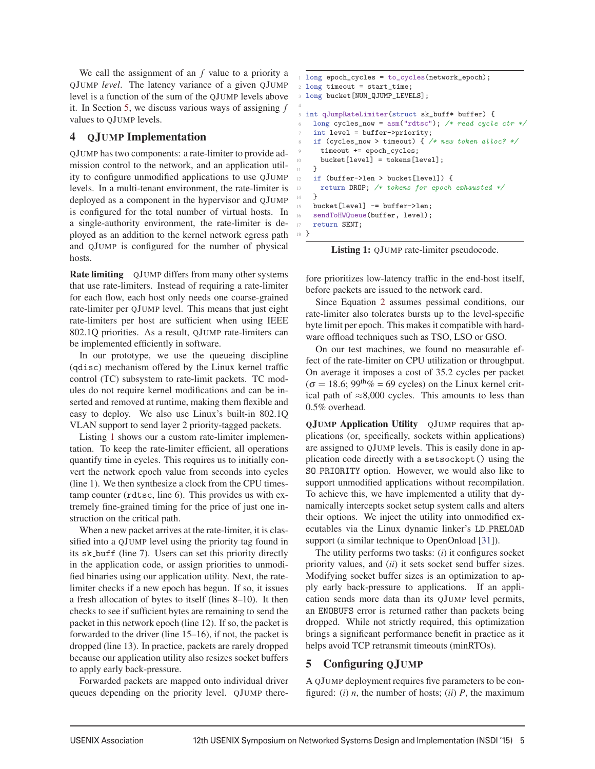We call the assignment of an *f* value to a priority a QJUMP *level*. The latency variance of a given QJUMP level is a function of the sum of the QJUMP levels above it. In Section 5, we discuss various ways of assigning *f* values to QJUMP levels.

4

# 4 QJUMP Implementation

QJUMP has two components: a rate-limiter to provide admission control to the network, and an application utility to configure unmodified applications to use QJUMP levels. In a multi-tenant environment, the rate-limiter is deployed as a component in the hypervisor and QJUMP is configured for the total number of virtual hosts. In a single-authority environment, the rate-limiter is deployed as an addition to the kernel network egress path and QJUMP is configured for the number of physical hosts.

Rate limiting QJUMP differs from many other systems that use rate-limiters. Instead of requiring a rate-limiter for each flow, each host only needs one coarse-grained rate-limiter per QJUMP level. This means that just eight rate-limiters per host are sufficient when using IEEE 802.1Q priorities. As a result, QJUMP rate-limiters can be implemented efficiently in software.

In our prototype, we use the queueing discipline (qdisc) mechanism offered by the Linux kernel traffic control (TC) subsystem to rate-limit packets. TC modules do not require kernel modifications and can be inserted and removed at runtime, making them flexible and easy to deploy. We also use Linux's built-in 802.1Q VLAN support to send layer 2 priority-tagged packets.

Listing 1 shows our a custom rate-limiter implementation. To keep the rate-limiter efficient, all operations quantify time in cycles. This requires us to initially convert the network epoch value from seconds into cycles (line 1). We then synthesize a clock from the CPU timestamp counter (rdtsc, line 6). This provides us with extremely fine-grained timing for the price of just one instruction on the critical path.

When a new packet arrives at the rate-limiter, it is classified into a QJUMP level using the priority tag found in its sk buff (line 7). Users can set this priority directly in the application code, or assign priorities to unmodified binaries using our application utility. Next, the ratelimiter checks if a new epoch has begun. If so, it issues a fresh allocation of bytes to itself (lines 8–10). It then checks to see if sufficient bytes are remaining to send the packet in this network epoch (line 12). If so, the packet is forwarded to the driver (line 15–16), if not, the packet is dropped (line 13). In practice, packets are rarely dropped because our application utility also resizes socket buffers to apply early back-pressure.

Forwarded packets are mapped onto individual driver queues depending on the priority level. QJUMP there-

```
long epoch_cycles = to_cycles(network_epoch);
  long timeout = start_time;
  long bucket [NUM_QJUMP_LEVELS];
 5 int qJumpRateLimiter(struct sk_buff* buffer) {
    long cycles_now = asm("rtisc"); /* read cycle ctr */
    int level = buffer->priority;
    if (cycles_now > timeout) { /* new token alloc? */
      timeout += epoch_cycles;
     bucket[level] = tokens[level];
11 \t{}12 if (buffer->len > bucket[level]) {
13 return DROP; /* tokens for epoch exhausted */
14 }
    bucket[level] -= buffer->len;
    sendToHWQueue(buffer, level);
17 return SENT;
18 }
```
Listing 1: QJUMP rate-limiter pseudocode.

fore prioritizes low-latency traffic in the end-host itself, before packets are issued to the network card.

Since Equation 2 assumes pessimal conditions, our rate-limiter also tolerates bursts up to the level-specific byte limit per epoch. This makes it compatible with hardware offload techniques such as TSO, LSO or GSO.

On our test machines, we found no measurable effect of the rate-limiter on CPU utilization or throughput. On average it imposes a cost of 35.2 cycles per packet  $(\sigma = 18.6; 99<sup>th</sup>\% = 69$  cycles) on the Linux kernel critical path of  $\approx 8,000$  cycles. This amounts to less than 0.5% overhead.

QJUMP Application Utility QJUMP requires that applications (or, specifically, sockets within applications) are assigned to QJUMP levels. This is easily done in application code directly with a setsockopt() using the SO PRIORITY option. However, we would also like to support unmodified applications without recompilation. To achieve this, we have implemented a utility that dynamically intercepts socket setup system calls and alters their options. We inject the utility into unmodified executables via the Linux dynamic linker's LD PRELOAD support (a similar technique to OpenOnload [31]).

The utility performs two tasks: (*i*) it configures socket priority values, and (*ii*) it sets socket send buffer sizes. Modifying socket buffer sizes is an optimization to apply early back-pressure to applications. If an application sends more data than its QJUMP level permits, an ENOBUFS error is returned rather than packets being dropped. While not strictly required, this optimization brings a significant performance benefit in practice as it helps avoid TCP retransmit timeouts (minRTOs).

# 5 Configuring QJUMP

A QJUMP deployment requires five parameters to be configured: (*i*)  $n$ , the number of hosts; (*ii*)  $P$ , the maximum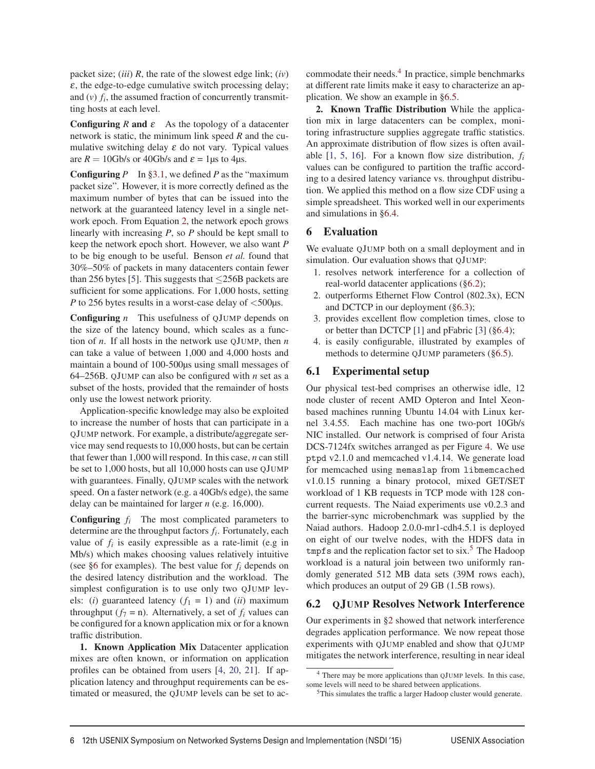packet size; (*iii*) *R*, the rate of the slowest edge link; (*iv*)  $\varepsilon$ , the edge-to-edge cumulative switch processing delay; and  $(v)$   $f_i$ , the assumed fraction of concurrently transmitting hosts at each level.

**Configuring**  $R$  and  $\varepsilon$  As the topology of a datacenter network is static, the minimum link speed *R* and the cumulative switching delay  $\varepsilon$  do not vary. Typical values are  $R = 10$ Gb/s or 40Gb/s and  $\varepsilon = 1$ μs to 4μs.

**Configuring**  $P$  In §3.1, we defined  $P$  as the "maximum" packet size". However, it is more correctly defined as the maximum number of bytes that can be issued into the network at the guaranteed latency level in a single network epoch. From Equation 2, the network epoch grows linearly with increasing *P*, so *P* should be kept small to keep the network epoch short. However, we also want *P* to be big enough to be useful. Benson *et al.* found that 30%–50% of packets in many datacenters contain fewer than 256 bytes [5]. This suggests that  $\leq$ 256B packets are sufficient for some applications. For 1,000 hosts, setting *P* to 256 bytes results in a worst-case delay of <500μs.

Configuring *n* This usefulness of QJUMP depends on the size of the latency bound, which scales as a function of *n*. If all hosts in the network use QJUMP, then *n* can take a value of between 1,000 and 4,000 hosts and maintain a bound of 100-500μs using small messages of 64–256B. QJUMP can also be configured with *n* set as a subset of the hosts, provided that the remainder of hosts only use the lowest network priority.

Application-specific knowledge may also be exploited to increase the number of hosts that can participate in a QJUMP network. For example, a distribute/aggregate service may send requests to 10,000 hosts, but can be certain that fewer than 1,000 will respond. In this case, *n* can still be set to 1,000 hosts, but all 10,000 hosts can use QJUMP with guarantees. Finally, QJUMP scales with the network speed. On a faster network (e.g. a 40Gb/s edge), the same delay can be maintained for larger *n* (e.g. 16,000).

Configuring *fi* The most complicated parameters to determine are the throughput factors *fi*. Fortunately, each value of  $f_i$  is easily expressible as a rate-limit (e.g in Mb/s) which makes choosing values relatively intuitive (see §6 for examples). The best value for *fi* depends on the desired latency distribution and the workload. The simplest configuration is to use only two QJUMP levels: (*i*) guaranteed latency  $(f_1 = 1)$  and (*ii*) maximum throughput  $(f_7 = n)$ . Alternatively, a set of  $f_i$  values can be configured for a known application mix or for a known traffic distribution.

1. Known Application Mix Datacenter application mixes are often known, or information on application profiles can be obtained from users [4, 20, 21]. If application latency and throughput requirements can be estimated or measured, the QJUMP levels can be set to accommodate their needs. $4$  In practice, simple benchmarks at different rate limits make it easy to characterize an application. We show an example in §6.5.

2. Known Traffic Distribution While the application mix in large datacenters can be complex, monitoring infrastructure supplies aggregate traffic statistics. An approximate distribution of flow sizes is often available [1, 5, 16]. For a known flow size distribution, *fi* values can be configured to partition the traffic according to a desired latency variance vs. throughput distribution. We applied this method on a flow size CDF using a simple spreadsheet. This worked well in our experiments and simulations in §6.4.

# 6 Evaluation

We evaluate QJUMP both on a small deployment and in simulation. Our evaluation shows that QJUMP:

- 1. resolves network interference for a collection of real-world datacenter applications (§6.2);
- 2. outperforms Ethernet Flow Control (802.3x), ECN and DCTCP in our deployment (§6.3);
- 3. provides excellent flow completion times, close to or better than DCTCP [1] and pFabric [3] (§6.4);
- 4. is easily configurable, illustrated by examples of methods to determine QJUMP parameters (§6.5).

# 6.1 Experimental setup

Our physical test-bed comprises an otherwise idle, 12 node cluster of recent AMD Opteron and Intel Xeonbased machines running Ubuntu 14.04 with Linux kernel 3.4.55. Each machine has one two-port 10Gb/s NIC installed. Our network is comprised of four Arista DCS-7124fx switches arranged as per Figure 4. We use ptpd v2.1.0 and memcached v1.4.14. We generate load for memcached using memaslap from libmemcached v1.0.15 running a binary protocol, mixed GET/SET workload of 1 KB requests in TCP mode with 128 concurrent requests. The Naiad experiments use v0.2.3 and the barrier-sync microbenchmark was supplied by the Naiad authors. Hadoop 2.0.0-mr1-cdh4.5.1 is deployed on eight of our twelve nodes, with the HDFS data in tmpfs and the replication factor set to  $s$ ix.<sup>5</sup> The Hadoop workload is a natural join between two uniformly randomly generated 512 MB data sets (39M rows each), which produces an output of 29 GB (1.5B rows).

# 6.2 QJUMP Resolves Network Interference

Our experiments in §2 showed that network interference degrades application performance. We now repeat those experiments with QJUMP enabled and show that QJUMP mitigates the network interference, resulting in near ideal

<sup>4</sup> There may be more applications than QJUMP levels. In this case, some levels will need to be shared between applications.

<sup>5</sup>This simulates the traffic a larger Hadoop cluster would generate.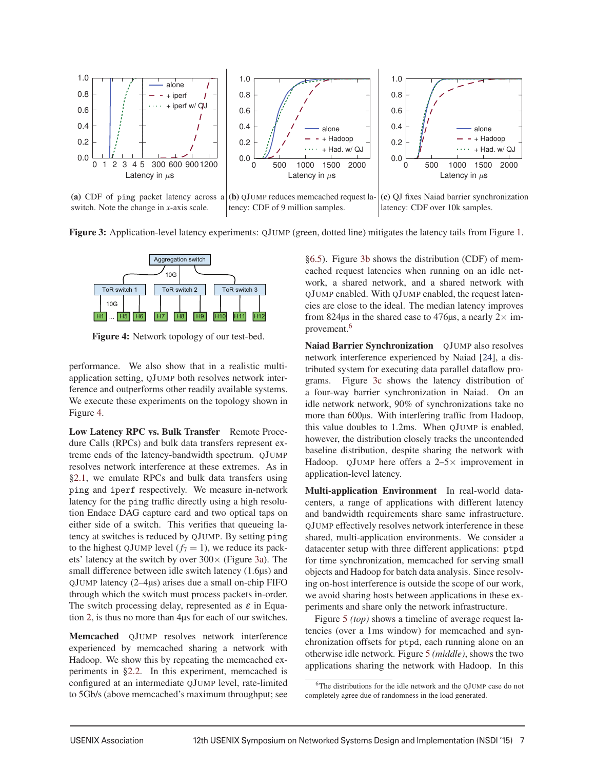

[switch. Note the change in](http://www.cl.cam.ac.uk/netos/qjump/nsdi2015/figure3a.html) *x*-axis scale.

t[ency: CDF of 9 million samples.](http://www.cl.cam.ac.uk/netos/qjump/nsdi2015/figure3b.html)

(c) [QJ fixes Naiad barrier synchronization](http://www.cl.cam.ac.uk/netos/qjump/nsdi2015/figure3c.html) latency: CDF over 10k samples.

Figure 3: Application-level latency experiments: QJUMP (green, dotted line) mitigates the latency tails from Figure 1.



Figure 4: Network topology of our test-bed.

performance. We also show that in a realistic multiapplication setting, QJUMP both resolves network interference and outperforms other readily available systems. We execute these experiments on the topology shown in Figure 4.

Low Latency RPC vs. Bulk Transfer Remote Procedure Calls (RPCs) and bulk data transfers represent extreme ends of the latency-bandwidth spectrum. QJUMP resolves network interference at these extremes. As in §2.1, we emulate RPCs and bulk data transfers using ping and iperf respectively. We measure in-network latency for the ping traffic directly using a high resolution Endace DAG capture card and two optical taps on either side of a switch. This verifies that queueing latency at switches is reduced by QJUMP. By setting ping to the highest QJUMP level  $(f_7 = 1)$ , we reduce its packets' latency at the switch by over 300× (Figure 3a). The small difference between idle switch latency (1.6μs) and QJUMP latency (2–4μs) arises due a small on-chip FIFO through which the switch must process packets in-order. The switch processing delay, represented as  $\varepsilon$  in Equation 2, is thus no more than 4μs for each of our switches.

Memcached QJUMP resolves network interference experienced by memcached sharing a network with Hadoop. We show this by repeating the memcached experiments in §2.2. In this experiment, memcached is configured at an intermediate QJUMP level, rate-limited to 5Gb/s (above memcached's maximum throughput; see §6.5). Figure 3b shows the distribution (CDF) of memcached request latencies when running on an idle network, a shared network, and a shared network with QJUMP enabled. With QJUMP enabled, the request latencies are close to the ideal. The median latency improves from 824μs in the shared case to 476μs, a nearly  $2 \times$  improvement.<sup>6</sup>

Naiad Barrier Synchronization OJUMP also resolves network interference experienced by Naiad [24], a distributed system for executing data parallel dataflow programs. Figure 3c shows the latency distribution of a four-way barrier synchronization in Naiad. On an idle network network, 90% of synchronizations take no more than 600μs. With interfering traffic from Hadoop, this value doubles to 1.2ms. When QJUMP is enabled, however, the distribution closely tracks the uncontended baseline distribution, despite sharing the network with Hadoop. QJUMP here offers a  $2-5\times$  improvement in application-level latency.

Multi-application Environment In real-world datacenters, a range of applications with different latency and bandwidth requirements share same infrastructure. QJUMP effectively resolves network interference in these shared, multi-application environments. We consider a datacenter setup with three different applications: ptpd for time synchronization, memcached for serving small objects and Hadoop for batch data analysis. Since resolving on-host interference is outside the scope of our work, we avoid sharing hosts between applications in these experiments and share only the network infrastructure.

Figure 5 *(top)* shows a timeline of average request latencies (over a 1ms window) for memcached and synchronization offsets for ptpd, each running alone on an otherwise idle network. Figure 5 *(middle)*, shows the two applications sharing the network with Hadoop. In this

<sup>6</sup>The distributions for the idle network and the QJUMP case do not completely agree due of randomness in the load generated.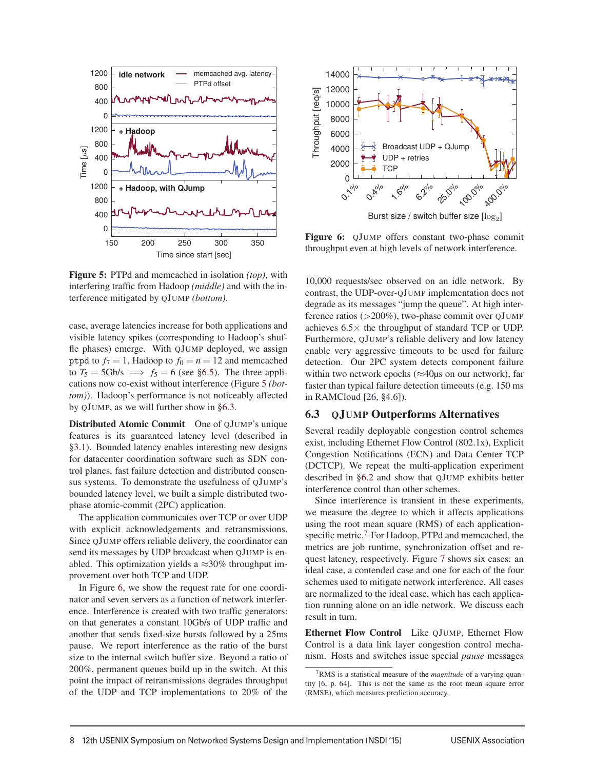

Figure 5: PTPd and memcached in isolation *(top)*, with interfering traffic from Hadoop *(middle)* and with the interference mitigated by QJUMP *(bottom)*.

case, average latencies increase for both applications and visible latency spikes (corresponding to Hadoop's shuffle phases) emerge. With QJUMP deployed, we assign ptpd to  $f_7 = 1$ , Hadoop to  $f_0 = n = 12$  and memcached to  $T_5 = 5 \text{Gb/s} \implies f_5 = 6$  (see §6.5). The three applications now co-exist without interference (Figure 5 *(bottom)*). Hadoop's performance is not noticeably affected by QJUMP, as we will further show in §6.3.

Distributed Atomic Commit One of QJUMP's unique features is its guaranteed latency level (described in §3.1). Bounded latency enables interesting new designs for datacenter coordination software such as SDN control planes, fast failure detection and distributed consensus systems. To demonstrate the usefulness of QJUMP's bounded latency level, we built a simple distributed twophase atomic-commit (2PC) application.

The application communicates over TCP or over UDP with explicit acknowledgements and retransmissions. Since QJUMP offers reliable delivery, the coordinator can send its messages by UDP broadcast when QJUMP is enabled. This optimization yields a  $\approx$ 30% throughput improvement over both TCP and UDP.

In Figure 6, we show the request rate for one coordinator and seven servers as a function of network interference. Interference is created with two traffic generators: on that generates a constant 10Gb/s of UDP traffic and another that sends fixed-size bursts followed by a 25ms pause. We report interference as the ratio of the burst size to the internal switch buffer size. Beyond a ratio of 200%, permanent queues build up in the switch. At this point the impact of retransmissions degrades throughput of the UDP and TCP implementations to 20% of the



Figure 6: QJUMP offers constant two-phase commit [throughput even at high levels of network interference.](http://www.cl.cam.ac.uk/netos/qjump/nsdi2015/figure6.html)

10,000 requests/sec observed on an idle network. By contrast, the UDP-over-QJUMP implementation does not degrade as its messages "jump the queue". At high interference ratios (>200%), two-phase commit over QJUMP achieves  $6.5\times$  the throughput of standard TCP or UDP. Furthermore, QJUMP's reliable delivery and low latency enable very aggressive timeouts to be used for failure detection. Our 2PC system detects component failure within two network epochs ( $\approx$ 40μs on our network), far faster than typical failure detection timeouts (e.g. 150 ms in RAMCloud [26, §4.6]).

## 6.3 QJUMP Outperforms Alternatives

Several readily deployable congestion control schemes exist, including Ethernet Flow Control (802.1x), Explicit Congestion Notifications (ECN) and Data Center TCP (DCTCP). We repeat the multi-application experiment described in §6.2 and show that QJUMP exhibits better interference control than other schemes.

Since interference is transient in these experiments, we measure the degree to which it affects applications using the root mean square (RMS) of each applicationspecific metric.<sup>7</sup> For Hadoop, PTPd and memcached, the metrics are job runtime, synchronization offset and request latency, respectively. Figure 7 shows six cases: an ideal case, a contended case and one for each of the four schemes used to mitigate network interference. All cases are normalized to the ideal case, which has each application running alone on an idle network. We discuss each result in turn.

Ethernet Flow Control Like QJUMP, Ethernet Flow Control is a data link layer congestion control mechanism. Hosts and switches issue special *pause* messages

<sup>7</sup>RMS is a statistical measure of the *magnitude* of a varying quantity [6, p. 64]. This is not the same as the root mean square error (RMSE), which measures prediction accuracy.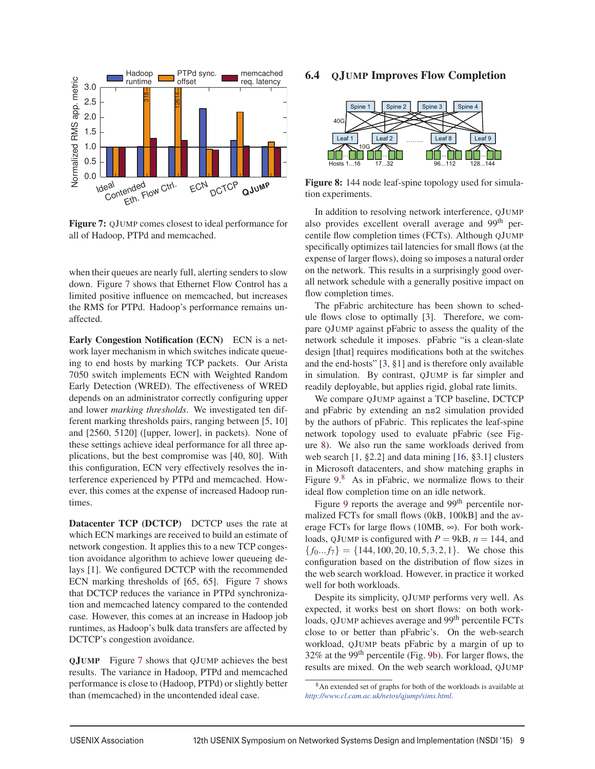

Figure 7: QJUMP [comes closest to ideal performance for](http://www.cl.cam.ac.uk/netos/qjump/nsdi2015/figure7.html) all of Hadoop, PTPd and memcached.

when their queues are nearly full, alerting senders to slow down. Figure 7 shows that Ethernet Flow Control has a limited positive influence on memcached, but increases the RMS for PTPd. Hadoop's performance remains unaffected.

Early Congestion Notification (ECN) ECN is a network layer mechanism in which switches indicate queueing to end hosts by marking TCP packets. Our Arista 7050 switch implements ECN with Weighted Random Early Detection (WRED). The effectiveness of WRED depends on an administrator correctly configuring upper and lower *marking thresholds*. We investigated ten different marking thresholds pairs, ranging between [5, 10] and [2560, 5120] ([upper, lower], in packets). None of these settings achieve ideal performance for all three applications, but the best compromise was [40, 80]. With this configuration, ECN very effectively resolves the interference experienced by PTPd and memcached. However, this comes at the expense of increased Hadoop runtimes.

Datacenter TCP (DCTCP) DCTCP uses the rate at which ECN markings are received to build an estimate of network congestion. It applies this to a new TCP congestion avoidance algorithm to achieve lower queueing delays [1]. We configured DCTCP with the recommended ECN marking thresholds of [65, 65]. Figure 7 shows that DCTCP reduces the variance in PTPd synchronization and memcached latency compared to the contended case. However, this comes at an increase in Hadoop job runtimes, as Hadoop's bulk data transfers are affected by DCTCP's congestion avoidance.

QJUMP Figure 7 shows that QJUMP achieves the best results. The variance in Hadoop, PTPd and memcached performance is close to (Hadoop, PTPd) or slightly better than (memcached) in the uncontended ideal case.

# 6.4 QJUMP Improves Flow Completion



Figure 8: 144 node leaf-spine topology used for simulation experiments.

In addition to resolving network interference, QJUMP also provides excellent overall average and 99<sup>th</sup> percentile flow completion times (FCTs). Although QJUMP specifically optimizes tail latencies for small flows (at the expense of larger flows), doing so imposes a natural order on the network. This results in a surprisingly good overall network schedule with a generally positive impact on flow completion times.

The pFabric architecture has been shown to schedule flows close to optimally [3]. Therefore, we compare QJUMP against pFabric to assess the quality of the network schedule it imposes. pFabric "is a clean-slate design [that] requires modifications both at the switches and the end-hosts" [3, §1] and is therefore only available in simulation. By contrast, QJUMP is far simpler and readily deployable, but applies rigid, global rate limits.

We compare QJUMP against a TCP baseline, DCTCP and pFabric by extending an ns2 simulation provided by the authors of pFabric. This replicates the leaf-spine network topology used to evaluate pFabric (see Figure 8). We also run the same workloads derived from web search [1, §2.2] and data mining [16, §3.1] clusters in Microsoft datacenters, and show matching graphs in Figure 9.<sup>8</sup> As in pFabric, we normalize flows to their ideal flow completion time on an idle network.

Figure 9 reports the average and  $99<sup>th</sup>$  percentile normalized FCTs for small flows (0kB, 100kB] and the average FCTs for large flows (10MB,  $\infty$ ). For both workloads, QJUMP is configured with  $P = 9kB$ ,  $n = 144$ , and  ${f_0...f_7} = {144, 100, 20, 10, 5, 3, 2, 1}.$  We chose this configuration based on the distribution of flow sizes in the web search workload. However, in practice it worked well for both workloads.

Despite its simplicity, QJUMP performs very well. As expected, it works best on short flows: on both workloads, QJUMP achieves average and 99<sup>th</sup> percentile FCTs close to or better than pFabric's. On the web-search workload, QJUMP beats pFabric by a margin of up to 32% at the 99<sup>th</sup> percentile (Fig. 9b). For larger flows, the results are mixed. On the web search workload, QJUMP

<sup>8</sup>An extended set of graphs for both of the workloads is available at *<http://www.cl.cam.ac.uk/netos/qjump/sims.html>*.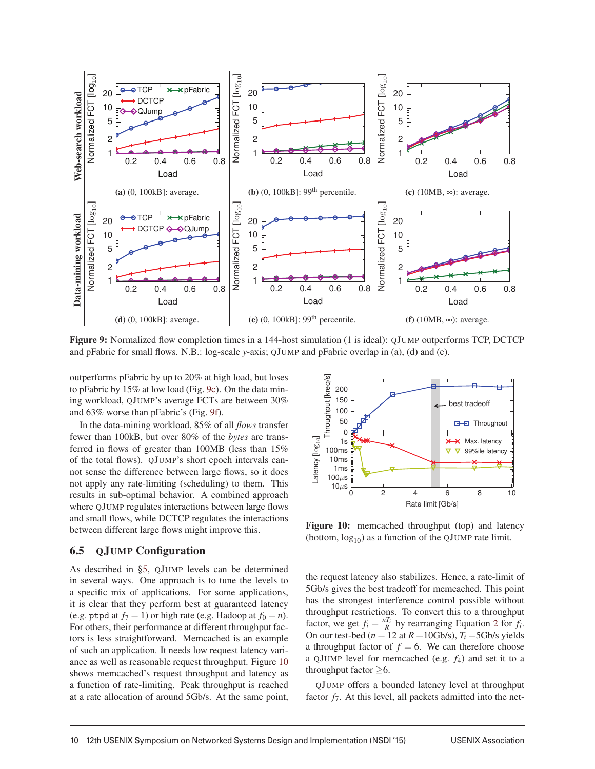

Figure 9: Normalized flow completion times in a 144-host simulation (1 is ideal): QJUMP outperforms TCP, DCTCP and pFabric for small flows. N.B.: log-scale *y*-axis; QJUMP and pFabric overlap in (a), (d) and (e).

outperforms pFabric by up to 20% at high load, but loses to pFabric by 15% at low load (Fig. 9c). On the data mining workload, QJUMP's average FCTs are between 30% and 63% worse than pFabric's (Fig. 9f).

In the data-mining workload, 85% of all *flows* transfer fewer than 100kB, but over 80% of the *bytes* are transferred in flows of greater than 100MB (less than 15% of the total flows). QJUMP's short epoch intervals cannot sense the difference between large flows, so it does not apply any rate-limiting (scheduling) to them. This results in sub-optimal behavior. A combined approach where QJUMP regulates interactions between large flows and small flows, while DCTCP regulates the interactions between different large flows might improve this.

## 6.5 QJUMP Configuration

As described in §5, QJUMP levels can be determined in several ways. One approach is to tune the levels to a specific mix of applications. For some applications, it is clear that they perform best at guaranteed latency (e.g. ptpd at  $f_7 = 1$ ) or high rate (e.g. Hadoop at  $f_0 = n$ ). For others, their performance at different throughput factors is less straightforward. Memcached is an example of such an application. It needs low request latency variance as well as reasonable request throughput. Figure 10 shows memcached's request throughput and latency as a function of rate-limiting. Peak throughput is reached at a rate allocation of around 5Gb/s. At the same point,



Figure 10: memcached throughput (top) and latency (bottom,  $log_{10}$ ) as a function of the QJUMP rate limit.

the request latency also stabilizes. Hence, a rate-limit of 5Gb/s gives the best tradeoff for memcached. This point has the strongest interference control possible without throughput restrictions. To convert this to a throughput factor, we get  $f_i = \frac{nT_i}{R}$  by rearranging Equation 2 for  $f_i$ . On our test-bed ( $n = 12$  at  $R = 10$ Gb/s),  $T_i = 5$ Gb/s yields a throughput factor of  $f = 6$ . We can therefore choose a QJUMP level for memcached (e.g. *f*4) and set it to a throughput factor ≥6.

QJUMP offers a bounded latency level at throughput factor  $f_7$ . At this level, all packets admitted into the net-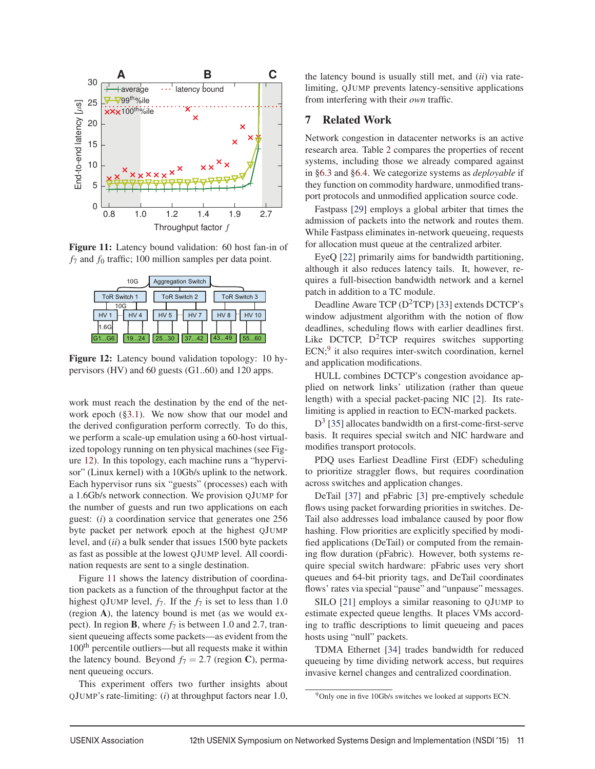

Figure 11: Latency bound validation: 60 host fan-in of *f*<sup>7</sup> and *f*<sup>0</sup> traffic; 100 million samples per data point.

| 10G                                       | <b>Aggregation Switch</b>               |                                 |
|-------------------------------------------|-----------------------------------------|---------------------------------|
| <b>ToR Switch 1</b>                       | ToR Switch 2                            | ToR Switch 3                    |
| 10G<br>HV <sub>4</sub><br>HV <sub>1</sub> | HV <sub>5</sub><br>HV <sub>7</sub><br>. | HV <sub>8</sub><br><b>HV 10</b> |
| 11.6G                                     |                                         |                                 |
| 1924<br>G1G6                              | 2530<br>3742                            | 4349<br>5560                    |

Figure 12: Latency bound validation topology: 10 hypervisors (HV) and 60 guests (G1..60) and 120 apps.

work must reach the destination by the end of the network epoch (§3.1). We now show that our model and the derived configuration perform correctly. To do this, we perform a scale-up emulation using a 60-host virtualized topology running on ten physical machines (see Figure 12). In this topology, each machine runs a "hypervisor" (Linux kernel) with a 10Gb/s uplink to the network. Each hypervisor runs six "guests" (processes) each with a 1.6Gb/s network connection. We provision QJUMP for the number of guests and run two applications on each guest: (*i*) a coordination service that generates one 256 byte packet per network epoch at the highest QJUMP level, and (*ii*) a bulk sender that issues 1500 byte packets as fast as possible at the lowest QJUMP level. All coordination requests are sent to a single destination.

Figure 11 shows the latency distribution of coordination packets as a function of the throughput factor at the highest QJUMP level,  $f_7$ . If the  $f_7$  is set to less than 1.0 (region A), the latency bound is met (as we would expect). In region **B**, where  $f_7$  is between 1.0 and 2.7, transient queueing affects some packets—as evident from the 100<sup>th</sup> percentile outliers—but all requests make it within the latency bound. Beyond  $f_7 = 2.7$  (region C), permanent queueing occurs.

This experiment offers two further insights about QJUMP's rate-limiting: (*i*) at throughput factors near 1.0,

the latency bound is usually still met, and (*ii*) via ratelimiting, QJUMP prevents latency-sensitive applications from interfering with their *own* traffic.

#### 7 Related Work

Network congestion in datacenter networks is an active research area. Table 2 compares the properties of recent systems, including those we already compared against in §6.3 and §6.4. We categorize systems as *deployable* if they function on commodity hardware, unmodified transport protocols and unmodified application source code.

Fastpass [29] employs a global arbiter that times the admission of packets into the network and routes them. While Fastpass eliminates in-network queueing, requests for allocation must queue at the centralized arbiter.

EyeQ [22] primarily aims for bandwidth partitioning, although it also reduces latency tails. It, however, requires a full-bisection bandwidth network and a kernel patch in addition to a TC module.

Deadline Aware TCP  $(D^2TCP)$  [33] extends DCTCP's window adjustment algorithm with the notion of flow deadlines, scheduling flows with earlier deadlines first. Like DCTCP,  $D^2TCP$  requires switches supporting ECN;<sup>9</sup> it also requires inter-switch coordination, kernel and application modifications.

HULL combines DCTCP's congestion avoidance applied on network links' utilization (rather than queue length) with a special packet-pacing NIC [2]. Its ratelimiting is applied in reaction to ECN-marked packets.

 $D<sup>3</sup>$  [35] allocates bandwidth on a first-come-first-serve basis. It requires special switch and NIC hardware and modifies transport protocols.

PDQ uses Earliest Deadline First (EDF) scheduling to prioritize straggler flows, but requires coordination across switches and application changes.

DeTail [37] and pFabric [3] pre-emptively schedule flows using packet forwarding priorities in switches. De-Tail also addresses load imbalance caused by poor flow hashing. Flow priorities are explicitly specified by modified applications (DeTail) or computed from the remaining flow duration (pFabric). However, both systems require special switch hardware: pFabric uses very short queues and 64-bit priority tags, and DeTail coordinates flows' rates via special "pause" and "unpause" messages.

SILO [21] employs a similar reasoning to QJUMP to estimate expected queue lengths. It places VMs according to traffic descriptions to limit queueing and paces hosts using "null" packets.

TDMA Ethernet [34] trades bandwidth for reduced queueing by time dividing network access, but requires invasive kernel changes and centralized coordination.

<sup>&</sup>lt;sup>9</sup>Only one in five 10Gb/s switches we looked at supports ECN.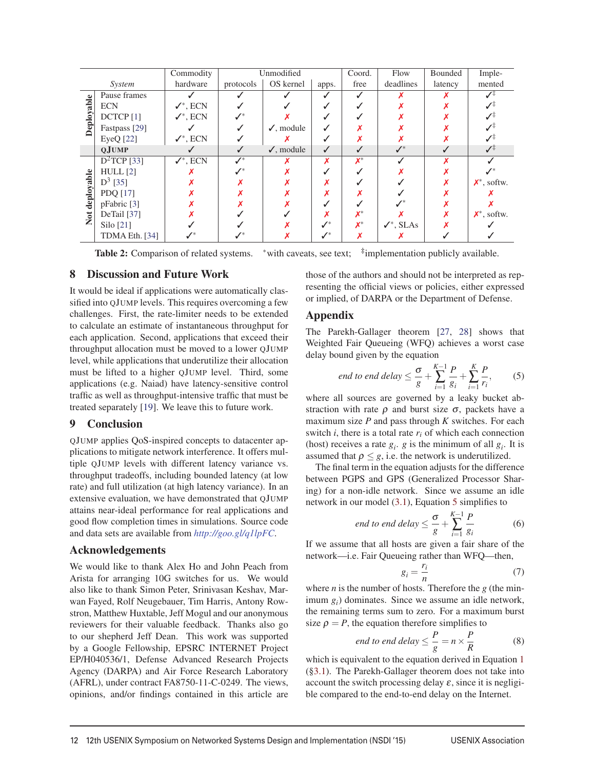| Commodity                  |                      | Unmodified           |                    | Coord.                | Flow               | Bounded        | Imple-                |         |                |
|----------------------------|----------------------|----------------------|--------------------|-----------------------|--------------------|----------------|-----------------------|---------|----------------|
| System                     |                      | hardware             | protocols          | OS kernel             | apps.              | free           | deadlines             | latency | mented         |
| $\bullet$<br><b>d</b><br>δ | Pause frames         |                      |                    |                       |                    |                |                       |         |                |
|                            | <b>ECN</b>           | $\checkmark^*$ , ECN |                    |                       |                    |                |                       |         |                |
|                            | DCTCP <sup>[1]</sup> | $\checkmark^*$ , ECN | $\mathscr{N}^*$    |                       |                    |                |                       |         | ℐ              |
|                            | Fastpass [29]        |                      |                    | $\checkmark$ , module |                    |                |                       |         | ✓ុ             |
|                            | EyeQ [22]            | $\checkmark^*$ , ECN |                    |                       |                    |                |                       |         | ℐ              |
|                            | <b>QJUMP</b>         |                      |                    | $\checkmark$ , module | ✓                  |                | $J^*$                 |         | ✓≑             |
| deployable<br>Not          | $D^2$ TCP [33]       | $\checkmark^*$ , ECN | $\boldsymbol{J}^*$ |                       |                    | $\mathbf{X}^*$ |                       |         |                |
|                            | $HULL$ [2]           |                      |                    |                       |                    |                |                       |         |                |
|                            | $D^3$ [35]           |                      |                    |                       |                    |                |                       |         | $X^*$ , softw. |
|                            | PDQ [17]             |                      |                    |                       |                    |                |                       |         |                |
|                            | $p$ Fabric [3]       |                      |                    |                       |                    |                |                       |         |                |
|                            | DeTail $[37]$        |                      |                    |                       |                    |                |                       |         | $X^*$ , softw. |
|                            | Silo [21]            |                      |                    |                       | $\boldsymbol{M}^*$ | $X^*$          | $\checkmark^*$ , SLAs |         |                |
|                            | TDMA Eth. [34]       | $\mathbb{Z}^*$       |                    |                       | $\boldsymbol{J}^*$ |                |                       |         |                |

Table 2: Comparison of related systems. \*with caveats, see text; <sup>‡</sup>implementation publicly available.

# 8 Discussion and Future Work

It would be ideal if applications were automatically classified into QJUMP levels. This requires overcoming a few challenges. First, the rate-limiter needs to be extended to calculate an estimate of instantaneous throughput for each application. Second, applications that exceed their throughput allocation must be moved to a lower QJUMP level, while applications that underutilize their allocation must be lifted to a higher QJUMP level. Third, some applications (e.g. Naiad) have latency-sensitive control traffic as well as throughput-intensive traffic that must be treated separately [19]. We leave this to future work.

#### 9 Conclusion

QJUMP applies QoS-inspired concepts to datacenter applications to mitigate network interference. It offers multiple QJUMP levels with different latency variance vs. throughput tradeoffs, including bounded latency (at low rate) and full utilization (at high latency variance). In an extensive evaluation, we have demonstrated that QJUMP attains near-ideal performance for real applications and good flow completion times in simulations. Source code and data sets are available from *<http://goo.gl/q1lpFC>*.

#### Acknowledgements

We would like to thank Alex Ho and John Peach from Arista for arranging 10G switches for us. We would also like to thank Simon Peter, Srinivasan Keshav, Marwan Fayed, Rolf Neugebauer, Tim Harris, Antony Rowstron, Matthew Huxtable, Jeff Mogul and our anonymous reviewers for their valuable feedback. Thanks also go to our shepherd Jeff Dean. This work was supported by a Google Fellowship, EPSRC INTERNET Project EP/H040536/1, Defense Advanced Research Projects Agency (DARPA) and Air Force Research Laboratory (AFRL), under contract FA8750-11-C-0249. The views, opinions, and/or findings contained in this article are those of the authors and should not be interpreted as representing the official views or policies, either expressed or implied, of DARPA or the Department of Defense.

## Appendix

The Parekh-Gallager theorem [27, 28] shows that Weighted Fair Queueing (WFQ) achieves a worst case delay bound given by the equation

$$
end\ to\ end\ delay \le \frac{\sigma}{g} + \sum_{i=1}^{K-1} \frac{P}{g_i} + \sum_{i=1}^{K} \frac{P}{r_i},\tag{5}
$$

where all sources are governed by a leaky bucket abstraction with rate  $\rho$  and burst size  $\sigma$ , packets have a maximum size *P* and pass through *K* switches. For each switch  $i$ , there is a total rate  $r_i$  of which each connection (host) receives a rate  $g_i$ ,  $g$  is the minimum of all  $g_i$ . It is assumed that  $\rho \leq g$ , i.e. the network is underutilized.

The final term in the equation adjusts for the difference between PGPS and GPS (Generalized Processor Sharing) for a non-idle network. Since we assume an idle network in our model (3.1), Equation 5 simplifies to

end to end delay 
$$
\leq \frac{\sigma}{g} + \sum_{i=1}^{K-1} \frac{P}{g_i}
$$
 (6)

If we assume that all hosts are given a fair share of the network—i.e. Fair Queueing rather than WFQ—then,

$$
g_i = \frac{r_i}{n} \tag{7}
$$

where *n* is the number of hosts. Therefore the *g* (the minimum *gi*) dominates. Since we assume an idle network, the remaining terms sum to zero. For a maximum burst size  $\rho = P$ , the equation therefore simplifies to

end to end delay 
$$
\leq \frac{P}{g} = n \times \frac{P}{R}
$$
 (8)

which is equivalent to the equation derived in Equation 1 (§3.1). The Parekh-Gallager theorem does not take into account the switch processing delay  $\varepsilon$ , since it is negligible compared to the end-to-end delay on the Internet.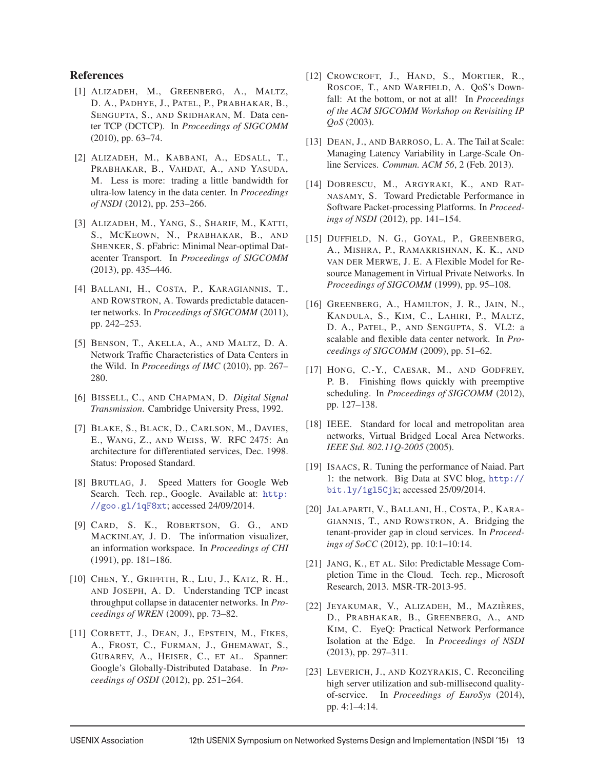## References

- [1] ALIZADEH, M., GREENBERG, A., MALTZ, D. A., PADHYE, J., PATEL, P., PRABHAKAR, B., SENGUPTA, S., AND SRIDHARAN, M. Data center TCP (DCTCP). In *Proceedings of SIGCOMM* (2010), pp. 63–74.
- [2] ALIZADEH, M., KABBANI, A., EDSALL, T., PRABHAKAR, B., VAHDAT, A., AND YASUDA, M. Less is more: trading a little bandwidth for ultra-low latency in the data center. In *Proceedings of NSDI* (2012), pp. 253–266.
- [3] ALIZADEH, M., YANG, S., SHARIF, M., KATTI, S., MCKEOWN, N., PRABHAKAR, B., AND SHENKER, S. pFabric: Minimal Near-optimal Datacenter Transport. In *Proceedings of SIGCOMM* (2013), pp. 435–446.
- [4] BALLANI, H., COSTA, P., KARAGIANNIS, T., AND ROWSTRON, A. Towards predictable datacenter networks. In *Proceedings of SIGCOMM* (2011), pp. 242–253.
- [5] BENSON, T., AKELLA, A., AND MALTZ, D. A. Network Traffic Characteristics of Data Centers in the Wild. In *Proceedings of IMC* (2010), pp. 267– 280.
- [6] BISSELL, C., AND CHAPMAN, D. *Digital Signal Transmission*. Cambridge University Press, 1992.
- [7] BLAKE, S., BLACK, D., CARLSON, M., DAVIES, E., WANG, Z., AND WEISS, W. RFC 2475: An architecture for differentiated services, Dec. 1998. Status: Proposed Standard.
- [8] BRUTLAG, J. Speed Matters for Google Web Search. Tech. rep., Google. Available at: http: //goo.gl/1qF8xt; accessed 24/09/2014.
- [9] CARD, S. K., ROBERTSON, G. G., AND MACKINLAY, J. D. The information visualizer, an information workspace. In *Proceedings of CHI* (1991), pp. 181–186.
- [10] CHEN, Y., GRIFFITH, R., LIU, J., KATZ, R. H., AND JOSEPH, A. D. Understanding TCP incast throughput collapse in datacenter networks. In *Proceedings of WREN* (2009), pp. 73–82.
- [11] CORBETT, J., DEAN, J., EPSTEIN, M., FIKES, A., FROST, C., FURMAN, J., GHEMAWAT, S., GUBAREV, A., HEISER, C., ET AL. Spanner: Google's Globally-Distributed Database. In *Proceedings of OSDI* (2012), pp. 251–264.
- [12] CROWCROFT, J., HAND, S., MORTIER, R., ROSCOE, T., AND WARFIELD, A. QoS's Downfall: At the bottom, or not at all! In *Proceedings of the ACM SIGCOMM Workshop on Revisiting IP QoS* (2003).
- [13] DEAN, J., AND BARROSO, L. A. The Tail at Scale: Managing Latency Variability in Large-Scale Online Services. *Commun. ACM 56*, 2 (Feb. 2013).
- [14] DOBRESCU, M., ARGYRAKI, K., AND RAT-NASAMY, S. Toward Predictable Performance in Software Packet-processing Platforms. In *Proceedings of NSDI* (2012), pp. 141–154.
- [15] DUFFIELD, N. G., GOYAL, P., GREENBERG, A., MISHRA, P., RAMAKRISHNAN, K. K., AND VAN DER MERWE, J. E. A Flexible Model for Resource Management in Virtual Private Networks. In *Proceedings of SIGCOMM* (1999), pp. 95–108.
- [16] GREENBERG, A., HAMILTON, J. R., JAIN, N., KANDULA, S., KIM, C., LAHIRI, P., MALTZ, D. A., PATEL, P., AND SENGUPTA, S. VL2: a scalable and flexible data center network. In *Proceedings of SIGCOMM* (2009), pp. 51–62.
- [17] HONG, C.-Y., CAESAR, M., AND GODFREY, P. B. Finishing flows quickly with preemptive scheduling. In *Proceedings of SIGCOMM* (2012), pp. 127–138.
- [18] IEEE. Standard for local and metropolitan area networks, Virtual Bridged Local Area Networks. *IEEE Std. 802.11Q-2005* (2005).
- [19] ISAACS, R. Tuning the performance of Naiad. Part 1: the network. Big Data at SVC blog, [http://](http://bit.ly/1gl5Cjk) [bit.ly/1gl5Cjk](http://bit.ly/1gl5Cjk); accessed 25/09/2014.
- [20] JALAPARTI, V., BALLANI, H., COSTA, P., KARA-GIANNIS, T., AND ROWSTRON, A. Bridging the tenant-provider gap in cloud services. In *Proceedings of SoCC* (2012), pp. 10:1–10:14.
- [21] JANG, K., ET AL. Silo: Predictable Message Completion Time in the Cloud. Tech. rep., Microsoft Research, 2013. MSR-TR-2013-95.
- [22] JEYAKUMAR, V., ALIZADEH, M., MAZIÈRES, D., PRABHAKAR, B., GREENBERG, A., AND KIM, C. EyeQ: Practical Network Performance Isolation at the Edge. In *Proceedings of NSDI* (2013), pp. 297–311.
- [23] LEVERICH, J., AND KOZYRAKIS, C. Reconciling high server utilization and sub-millisecond qualityof-service. In *Proceedings of EuroSys* (2014), pp. 4:1–4:14.